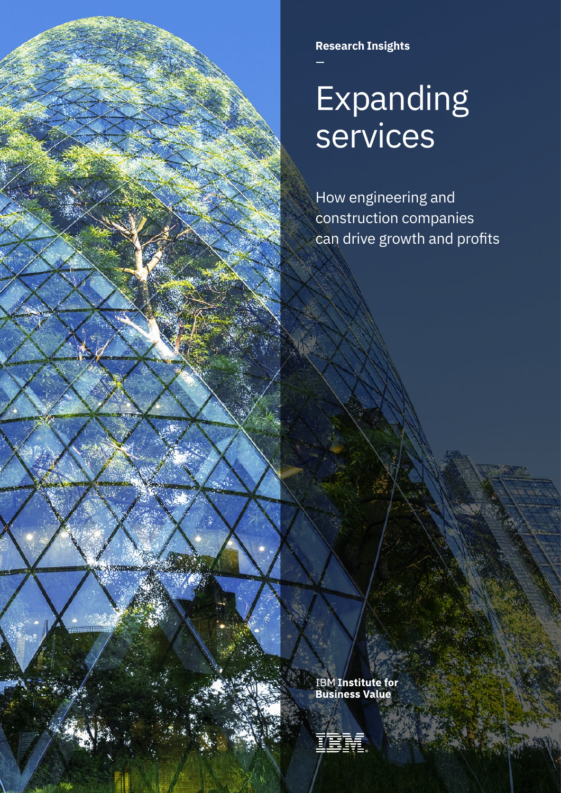**Research Insights**

# Expanding services

How engineering and construction companies can drive growth and profits

**IBM Institute for<br>Business Value** 

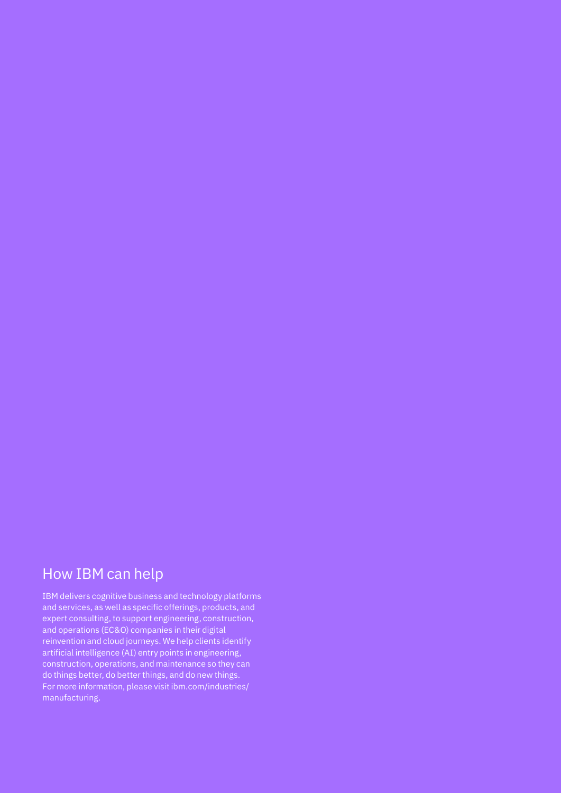# How IBM can help

IBM delivers cognitive business and technology platforms and services, as well as specific offerings, products, and expert consulting, to support engineering, construction, and operations (EC&O) companies in their digital reinvention and cloud journeys. We help clients identify artificial intelligence (AI) entry points in engineering, construction, operations, and maintenance so they can do things better, do better things, and do new things. For more information, please visit [ibm.com/industries/](http://ibm.com/industries/manufacturing) [manufacturing.](http://ibm.com/industries/manufacturing)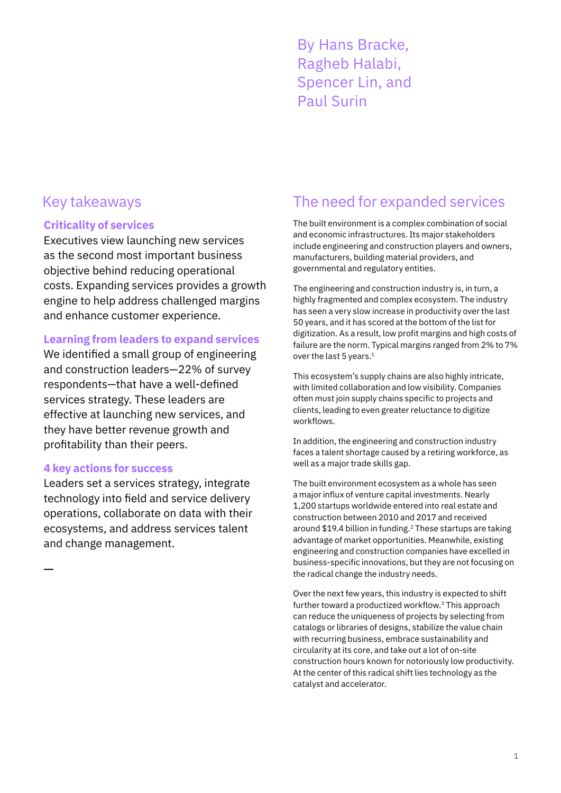By Hans Bracke, Ragheb Halabi, Spencer Lin, and Paul Surin

## **Criticality of services**

Executives view launching new services as the second most important business objective behind reducing operational costs. Expanding services provides a growth engine to help address challenged margins and enhance customer experience.

## **Learning from leaders to expand services**

We identified a small group of engineering and construction leaders—22% of survey respondents—that have a well-defined services strategy. These leaders are effective at launching new services, and they have better revenue growth and profitability than their peers.

## **4 key actions for success**

Leaders set a services strategy, integrate technology into field and service delivery operations, collaborate on data with their ecosystems, and address services talent and change management.

# Key takeaways The need for expanded services

The built environment is a complex combination of social and economic infrastructures. Its major stakeholders include engineering and construction players and owners, manufacturers, building material providers, and governmental and regulatory entities.

The engineering and construction industry is, in turn, a highly fragmented and complex ecosystem. The industry has seen a very slow increase in productivity over the last 50 years, and it has scored at the bottom of the list for digitization. As a result, low profit margins and high costs of failure are the norm. Typical margins ranged from 2% to 7% over the last 5 years.<sup>1</sup>

This ecosystem's supply chains are also highly intricate, with limited collaboration and low visibility. Companies often must join supply chains specific to projects and clients, leading to even greater reluctance to digitize workflows.

In addition, the engineering and construction industry faces a talent shortage caused by a retiring workforce, as well as a major trade skills gap.

The built environment ecosystem as a whole has seen a major influx of venture capital investments. Nearly 1,200 startups worldwide entered into real estate and construction between 2010 and 2017 and received around \$19.4 billion in funding.2 These startups are taking advantage of market opportunities. Meanwhile, existing engineering and construction companies have excelled in business-specific innovations, but they are not focusing on the radical change the industry needs.

Over the next few years, this industry is expected to shift further toward a productized workflow.3 This approach can reduce the uniqueness of projects by selecting from catalogs or libraries of designs, stabilize the value chain with recurring business, embrace sustainability and circularity at its core, and take out a lot of on-site construction hours known for notoriously low productivity. At the center of this radical shift lies technology as the catalyst and accelerator.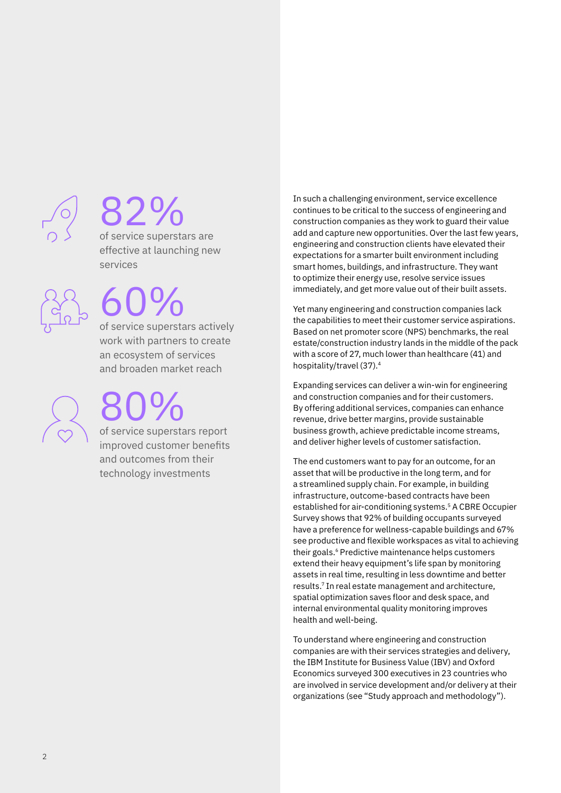

# 82%

of service superstars are effective at launching new services

# 60%

of service superstars actively work with partners to create an ecosystem of services and broaden market reach

80% of service superstars report

improved customer benefits and outcomes from their technology investments

In such a challenging environment, service excellence continues to be critical to the success of engineering and construction companies as they work to guard their value add and capture new opportunities. Over the last few years, engineering and construction clients have elevated their expectations for a smarter built environment including smart homes, buildings, and infrastructure. They want to optimize their energy use, resolve service issues immediately, and get more value out of their built assets.

Yet many engineering and construction companies lack the capabilities to meet their customer service aspirations. Based on net promoter score (NPS) benchmarks, the real estate/construction industry lands in the middle of the pack with a score of 27, much lower than healthcare (41) and hospitality/travel (37).4

Expanding services can deliver a win-win for engineering and construction companies and for their customers. By offering additional services, companies can enhance revenue, drive better margins, provide sustainable business growth, achieve predictable income streams, and deliver higher levels of customer satisfaction.

The end customers want to pay for an outcome, for an asset that will be productive in the long term, and for a streamlined supply chain. For example, in building infrastructure, outcome-based contracts have been established for air-conditioning systems.5 A CBRE Occupier Survey shows that 92% of building occupants surveyed have a preference for wellness-capable buildings and 67% see productive and flexible workspaces as vital to achieving their goals.<sup>6</sup> Predictive maintenance helps customers extend their heavy equipment's life span by monitoring assets in real time, resulting in less downtime and better results.7 In real estate management and architecture, spatial optimization saves floor and desk space, and internal environmental quality monitoring improves health and well-being.

To understand where engineering and construction companies are with their services strategies and delivery, the IBM Institute for Business Value (IBV) and Oxford Economics surveyed 300 executives in 23 countries who are involved in service development and/or delivery at their organizations (see "Study approach and methodology").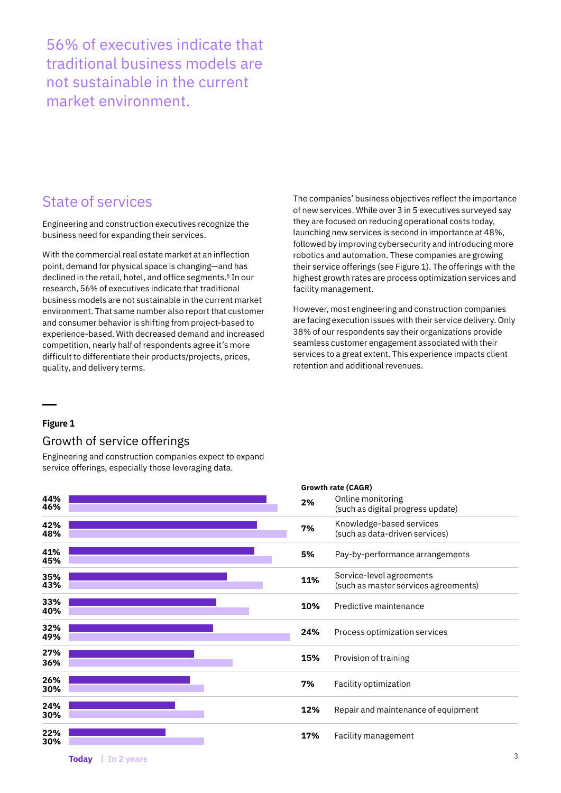56% of executives indicate that traditional business models are not sustainable in the current market environment.

## State of services

Engineering and construction executives recognize the business need for expanding their services.

With the commercial real estate market at an inflection point, demand for physical space is changing—and has declined in the retail, hotel, and office segments.8 In our research, 56% of executives indicate that traditional business models are not sustainable in the current market environment. That same number also report that customer and consumer behavior is shifting from project-based to experience-based. With decreased demand and increased competition, nearly half of respondents agree it's more difficult to differentiate their products/projects, prices, quality, and delivery terms.

The companies' business objectives reflect the importance of new services. While over 3 in 5 executives surveyed say they are focused on reducing operational costs today, launching new services is second in importance at 48%, followed by improving cybersecurity and introducing more robotics and automation. These companies are growing their service offerings (see Figure 1). The offerings with the highest growth rates are process optimization services and facility management.

However, most engineering and construction companies are facing execution issues with their service delivery. Only 38% of our respondents say their organizations provide seamless customer engagement associated with their services to a great extent. This experience impacts client retention and additional revenues.

**Growth rate (CAGR)**

## **Figure 1**

## Growth of service offerings

Engineering and construction companies expect to expand service offerings, especially those leveraging data.

|            | Growth rate (CAGR) |                                                                  |  |  |  |
|------------|--------------------|------------------------------------------------------------------|--|--|--|
| 44%<br>46% | 2%                 | Online monitoring<br>(such as digital progress update)           |  |  |  |
| 42%<br>48% | 7%                 | Knowledge-based services<br>(such as data-driven services)       |  |  |  |
| 41%<br>45% | 5%                 | Pay-by-performance arrangements                                  |  |  |  |
| 35%<br>43% | 11%                | Service-level agreements<br>(such as master services agreements) |  |  |  |
| 33%<br>40% | 10%                | Predictive maintenance                                           |  |  |  |
| 32%<br>49% | 24%                | Process optimization services                                    |  |  |  |
| 27%<br>36% | 15%                | Provision of training                                            |  |  |  |
| 26%<br>30% | 7%                 | Facility optimization                                            |  |  |  |
| 24%<br>30% | 12%                | Repair and maintenance of equipment                              |  |  |  |
| 22%<br>30% | 17%                | Facility management                                              |  |  |  |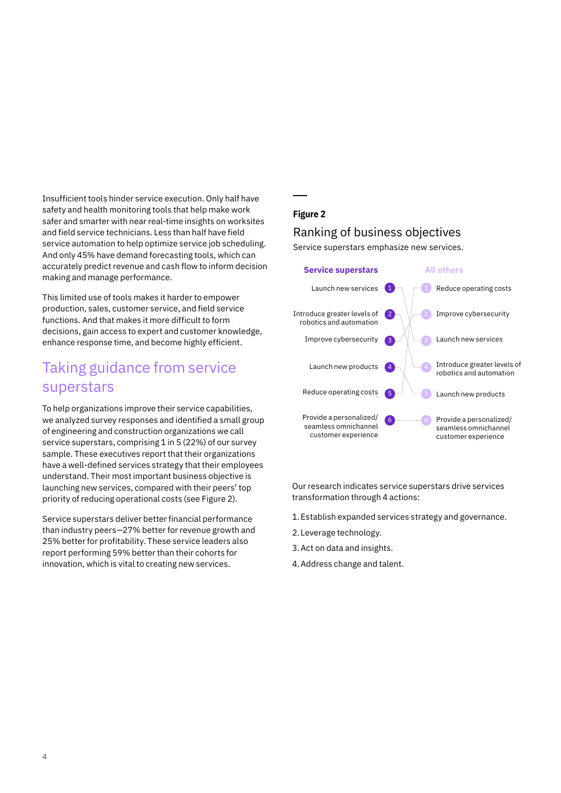Insufficient tools hinder service execution. Only half have safety and health monitoring tools that help make work safer and smarter with near real-time insights on worksites and field service technicians. Less than half have field service automation to help optimize service job scheduling. And only 45% have demand forecasting tools, which can accurately predict revenue and cash flow to inform decision making and manage performance.

This limited use of tools makes it harder to empower production, sales, customer service, and field service functions. And that makes it more difficult to form decisions, gain access to expert and customer knowledge, enhance response time, and become highly efficient.

# Taking guidance from service superstars

To help organizations improve their service capabilities, we analyzed survey responses and identified a small group of engineering and construction organizations we call service superstars, comprising 1 in 5 (22%) of our survey sample. These executives report that their organizations have a well-defined services strategy that their employees understand. Their most important business objective is launching new services, compared with their peers' top priority of reducing operational costs (see Figure 2).

Service superstars deliver better financial performance than industry peers—27% better for revenue growth and 25% better for profitability. These service leaders also report performing 59% better than their cohorts for innovation, which is vital to creating new services.

## **Figure 2**

## Ranking of business objectives

Service superstars emphasize new services.



Our research indicates service superstars drive services transformation through 4 actions:

- 1.Establish expanded services strategy and governance.
- 2.Leverage technology.
- 3.Act on data and insights.
- 4.Address change and talent.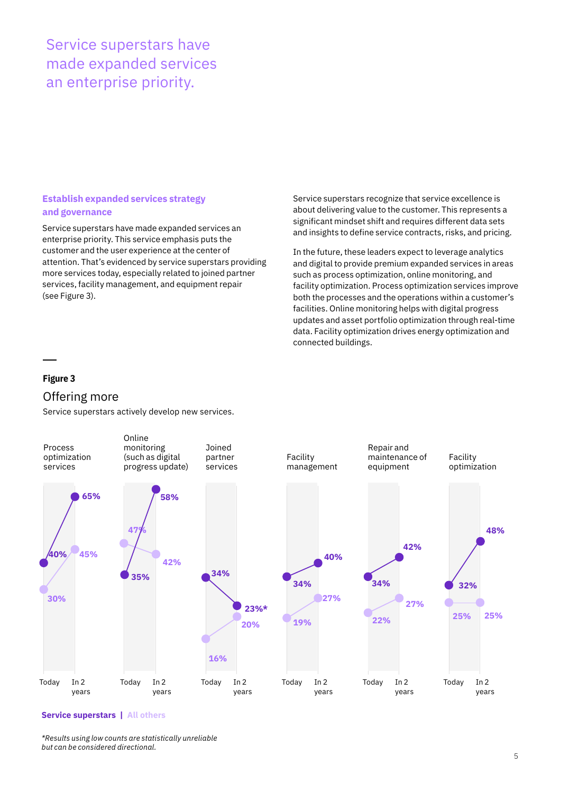# Service superstars have made expanded services an enterprise priority.

## **Establish expanded services strategy and governance**

Service superstars have made expanded services an enterprise priority. This service emphasis puts the customer and the user experience at the center of attention. That's evidenced by service superstars providing more services today, especially related to joined partner services, facility management, and equipment repair (see Figure 3).

Service superstars recognize that service excellence is about delivering value to the customer. This represents a significant mindset shift and requires different data sets and insights to define service contracts, risks, and pricing.

In the future, these leaders expect to leverage analytics and digital to provide premium expanded services in areas such as process optimization, online monitoring, and facility optimization. Process optimization services improve both the processes and the operations within a customer's facilities. Online monitoring helps with digital progress updates and asset portfolio optimization through real-time data. Facility optimization drives energy optimization and connected buildings.

## **Figure 3**

## Offering more

Service superstars actively develop new services.



#### **Service superstars | All others**

*\*Results using low counts are statistically unreliable but can be considered directional.*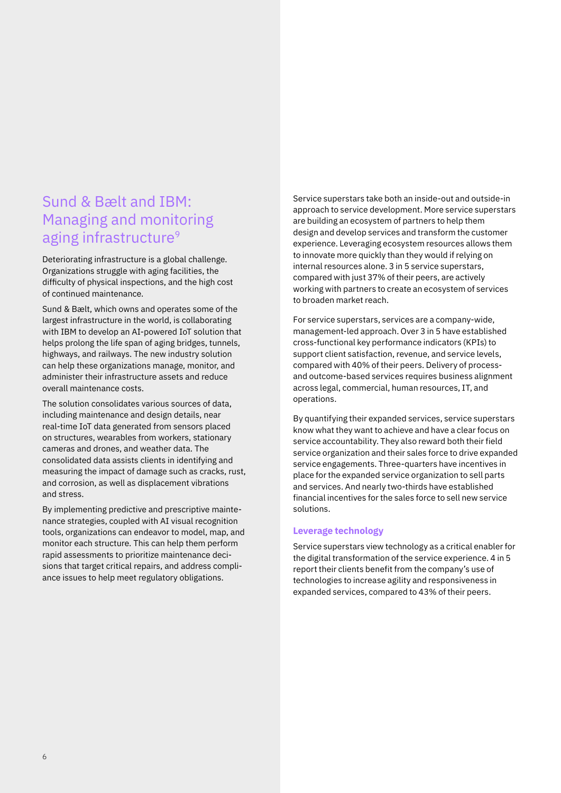# Sund & Bælt and IBM: Managing and monitoring aging infrastructure<sup>9</sup>

Deteriorating infrastructure is a global challenge. Organizations struggle with aging facilities, the difficulty of physical inspections, and the high cost of continued maintenance.

Sund & Bælt, which owns and operates some of the largest infrastructure in the world, is collaborating with IBM to develop an AI-powered IoT solution that helps prolong the life span of aging bridges, tunnels, highways, and railways. The new industry solution can help these organizations manage, monitor, and administer their infrastructure assets and reduce overall maintenance costs.

The solution consolidates various sources of data, including maintenance and design details, near real-time IoT data generated from sensors placed on structures, wearables from workers, stationary cameras and drones, and weather data. The consolidated data assists clients in identifying and measuring the impact of damage such as cracks, rust, and corrosion, as well as displacement vibrations and stress.

By implementing predictive and prescriptive maintenance strategies, coupled with AI visual recognition tools, organizations can endeavor to model, map, and monitor each structure. This can help them perform rapid assessments to prioritize maintenance decisions that target critical repairs, and address compliance issues to help meet regulatory obligations.

Service superstars take both an inside-out and outside-in approach to service development. More service superstars are building an ecosystem of partners to help them design and develop services and transform the customer experience. Leveraging ecosystem resources allows them to innovate more quickly than they would if relying on internal resources alone. 3 in 5 service superstars, compared with just 37% of their peers, are actively working with partners to create an ecosystem of services to broaden market reach.

For service superstars, services are a company-wide, management-led approach. Over 3 in 5 have established cross-functional key performance indicators (KPIs) to support client satisfaction, revenue, and service levels, compared with 40% of their peers. Delivery of processand outcome-based services requires business alignment across legal, commercial, human resources, IT, and operations.

By quantifying their expanded services, service superstars know what they want to achieve and have a clear focus on service accountability. They also reward both their field service organization and their sales force to drive expanded service engagements. Three-quarters have incentives in place for the expanded service organization to sell parts and services. And nearly two-thirds have established financial incentives for the sales force to sell new service solutions.

#### **Leverage technology**

Service superstars view technology as a critical enabler for the digital transformation of the service experience. 4 in 5 report their clients benefit from the company's use of technologies to increase agility and responsiveness in expanded services, compared to 43% of their peers.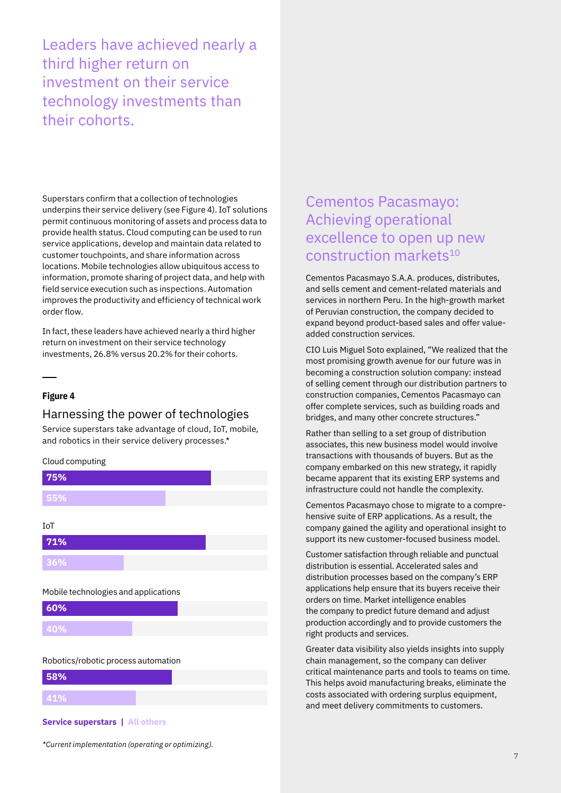Leaders have achieved nearly a third higher return on investment on their service technology investments than their cohorts.

Superstars confirm that a collection of technologies underpins their service delivery (see Figure 4). IoT solutions permit continuous monitoring of assets and process data to provide health status. Cloud computing can be used to run service applications, develop and maintain data related to customer touchpoints, and share information across locations. Mobile technologies allow ubiquitous access to information, promote sharing of project data, and help with field service execution such as inspections. Automation improves the productivity and efficiency of technical work order flow.

In fact, these leaders have achieved nearly a third higher return on investment on their service technology investments, 26.8% versus 20.2% for their cohorts.

### **Figure 4**

## Harnessing the power of technologies

Service superstars take advantage of cloud, IoT, mobile, and robotics in their service delivery processes.\*

Cloud computing



**58% 41%**

#### **Service superstars | All others**

# Cementos Pacasmayo: Achieving operational excellence to open up new construction markets<sup>10</sup>

Cementos Pacasmayo S.A.A. produces, distributes, and sells cement and cement-related materials and services in northern Peru. In the high-growth market of Peruvian construction, the company decided to expand beyond product-based sales and offer valueadded construction services.

CIO Luis Miguel Soto explained, "We realized that the most promising growth avenue for our future was in becoming a construction solution company: instead of selling cement through our distribution partners to construction companies, Cementos Pacasmayo can offer complete services, such as building roads and bridges, and many other concrete structures."

Rather than selling to a set group of distribution associates, this new business model would involve transactions with thousands of buyers. But as the company embarked on this new strategy, it rapidly became apparent that its existing ERP systems and infrastructure could not handle the complexity.

Cementos Pacasmayo chose to migrate to a comprehensive suite of ERP applications. As a result, the company gained the agility and operational insight to support its new customer-focused business model.

Customer satisfaction through reliable and punctual distribution is essential. Accelerated sales and distribution processes based on the company's ERP applications help ensure that its buyers receive their orders on time. Market intelligence enables the company to predict future demand and adjust production accordingly and to provide customers the right products and services.

Greater data visibility also yields insights into supply chain management, so the company can deliver critical maintenance parts and tools to teams on time. This helps avoid manufacturing breaks, eliminate the costs associated with ordering surplus equipment, and meet delivery commitments to customers.

*\*Current implementation (operating or optimizing).*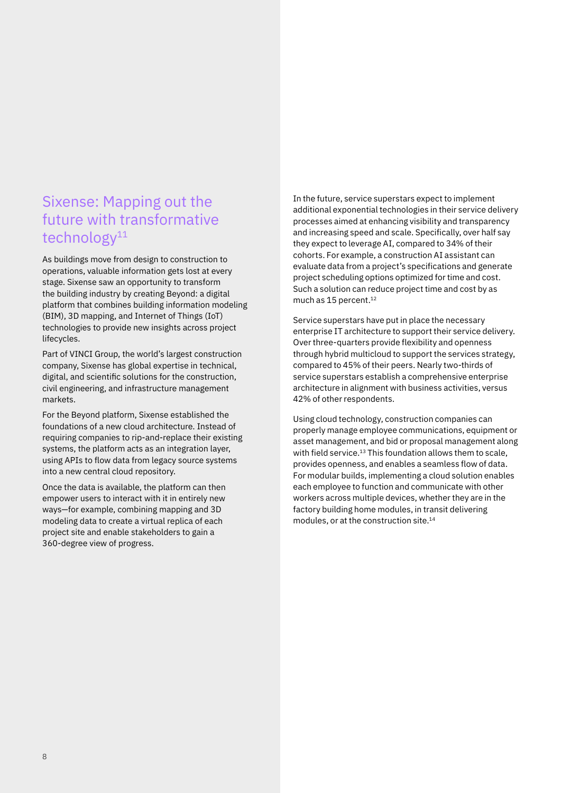# Sixense: Mapping out the future with transformative technology<sup>11</sup>

As buildings move from design to construction to operations, valuable information gets lost at every stage. Sixense saw an opportunity to transform the building industry by creating Beyond: a digital platform that combines building information modeling (BIM), 3D mapping, and Internet of Things (IoT) technologies to provide new insights across project lifecycles.

Part of VINCI Group, the world's largest construction company, Sixense has global expertise in technical, digital, and scientific solutions for the construction, civil engineering, and infrastructure management markets.

For the Beyond platform, Sixense established the foundations of a new cloud architecture. Instead of requiring companies to rip-and-replace their existing systems, the platform acts as an integration layer, using APIs to flow data from legacy source systems into a new central cloud repository.

Once the data is available, the platform can then empower users to interact with it in entirely new ways—for example, combining mapping and 3D modeling data to create a virtual replica of each project site and enable stakeholders to gain a 360-degree view of progress.

In the future, service superstars expect to implement additional exponential technologies in their service delivery processes aimed at enhancing visibility and transparency and increasing speed and scale. Specifically, over half say they expect to leverage AI, compared to 34% of their cohorts. For example, a construction AI assistant can evaluate data from a project's specifications and generate project scheduling options optimized for time and cost. Such a solution can reduce project time and cost by as much as 15 percent.<sup>12</sup>

Service superstars have put in place the necessary enterprise IT architecture to support their service delivery. Over three-quarters provide flexibility and openness through hybrid multicloud to support the services strategy, compared to 45% of their peers. Nearly two-thirds of service superstars establish a comprehensive enterprise architecture in alignment with business activities, versus 42% of other respondents.

Using cloud technology, construction companies can properly manage employee communications, equipment or asset management, and bid or proposal management along with field service.<sup>13</sup> This foundation allows them to scale, provides openness, and enables a seamless flow of data. For modular builds, implementing a cloud solution enables each employee to function and communicate with other workers across multiple devices, whether they are in the factory building home modules, in transit delivering modules, or at the construction site.14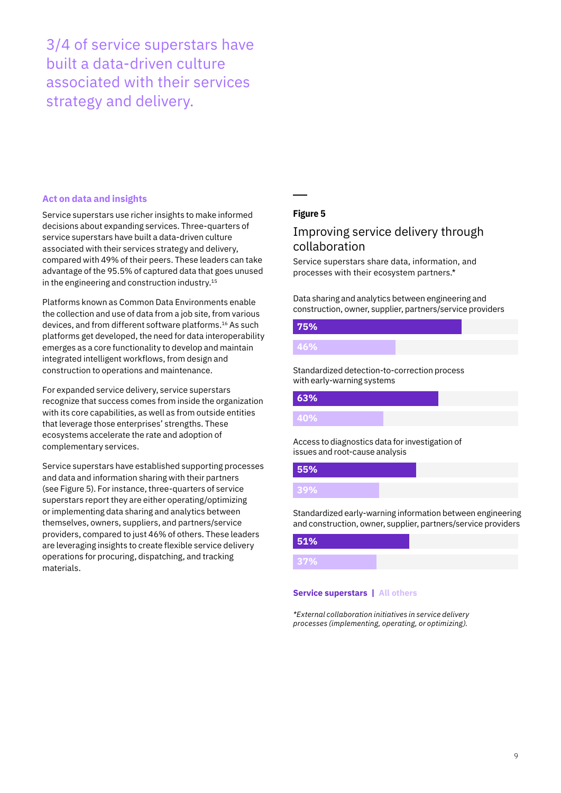3/4 of service superstars have built a data-driven culture associated with their services strategy and delivery.

### **Act on data and insights**

Service superstars use richer insights to make informed decisions about expanding services. Three-quarters of service superstars have built a data-driven culture associated with their services strategy and delivery, compared with 49% of their peers. These leaders can take advantage of the 95.5% of captured data that goes unused in the engineering and construction industry.<sup>15</sup>

Platforms known as Common Data Environments enable the collection and use of data from a job site, from various devices, and from different software platforms.16 As such platforms get developed, the need for data interoperability emerges as a core functionality to develop and maintain integrated intelligent workflows, from design and construction to operations and maintenance.

For expanded service delivery, service superstars recognize that success comes from inside the organization with its core capabilities, as well as from outside entities that leverage those enterprises' strengths. These ecosystems accelerate the rate and adoption of complementary services.

Service superstars have established supporting processes and data and information sharing with their partners (see Figure 5). For instance, three-quarters of service superstars report they are either operating/optimizing or implementing data sharing and analytics between themselves, owners, suppliers, and partners/service providers, compared to just 46% of others. These leaders are leveraging insights to create flexible service delivery operations for procuring, dispatching, and tracking materials.

## **Figure 5**

## Improving service delivery through collaboration

Service superstars share data, information, and processes with their ecosystem partners.\*

Data sharing and analytics between engineering and construction, owner, supplier, partners/service providers

# **75%**

**46%**

Standardized detection-to-correction process with early-warning systems

## **63% 40%**

Access to diagnostics data for investigation of issues and root-cause analysis

## **55%**

Standardized early-warning information between engineering and construction, owner, supplier, partners/service providers

# **51% 37%**

#### **Service superstars | All others**

*\*External collaboration initiatives in service delivery processes (implementing, operating, or optimizing).*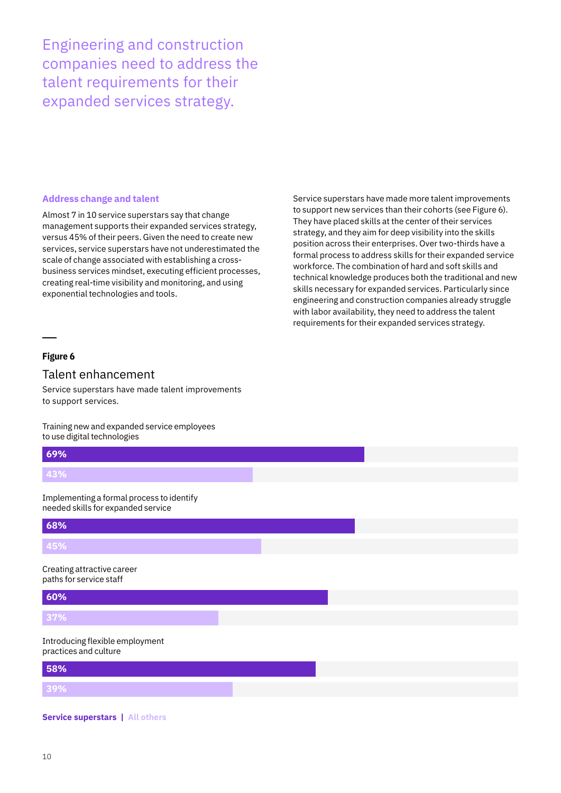Engineering and construction companies need to address the talent requirements for their expanded services strategy.

#### **Address change and talent**

Almost 7 in 10 service superstars say that change management supports their expanded services strategy, versus 45% of their peers. Given the need to create new services, service superstars have not underestimated the scale of change associated with establishing a crossbusiness services mindset, executing efficient processes, creating real-time visibility and monitoring, and using exponential technologies and tools.

Service superstars have made more talent improvements to support new services than their cohorts (see Figure 6). They have placed skills at the center of their services strategy, and they aim for deep visibility into the skills position across their enterprises. Over two-thirds have a formal process to address skills for their expanded service workforce. The combination of hard and soft skills and technical knowledge produces both the traditional and new skills necessary for expanded services. Particularly since engineering and construction companies already struggle with labor availability, they need to address the talent requirements for their expanded services strategy.

## **Figure 6**

## Talent enhancement

Service superstars have made talent improvements to support services.

Training new and expanded service employees to use digital technologies

| 69%                                                                             |  |  |  |
|---------------------------------------------------------------------------------|--|--|--|
| 43%                                                                             |  |  |  |
| Implementing a formal process to identify<br>needed skills for expanded service |  |  |  |
| 68%                                                                             |  |  |  |
| 45%                                                                             |  |  |  |
| Creating attractive career<br>paths for service staff                           |  |  |  |
| 60%                                                                             |  |  |  |
| 37%                                                                             |  |  |  |
| Introducing flexible employment<br>practices and culture                        |  |  |  |
| 58%                                                                             |  |  |  |
| 39%                                                                             |  |  |  |

#### **Service superstars | All others**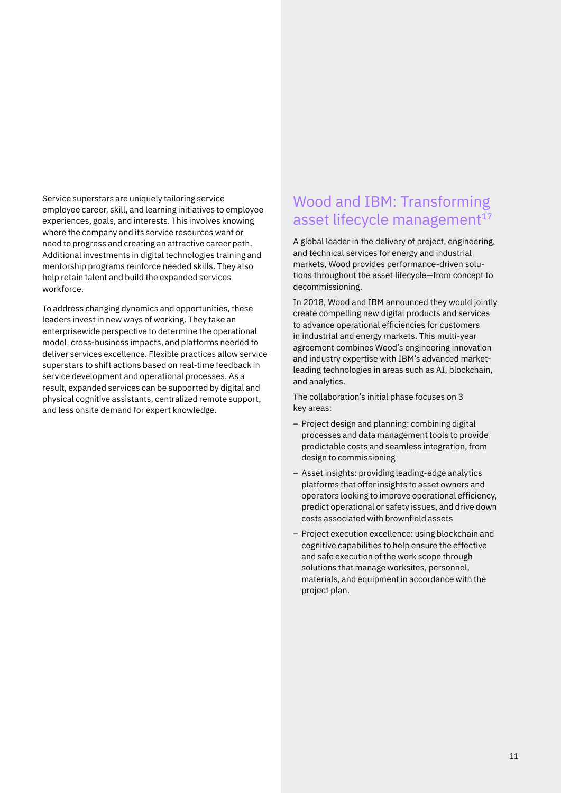Service superstars are uniquely tailoring service employee career, skill, and learning initiatives to employee experiences, goals, and interests. This involves knowing where the company and its service resources want or need to progress and creating an attractive career path. Additional investments in digital technologies training and mentorship programs reinforce needed skills. They also help retain talent and build the expanded services workforce.

To address changing dynamics and opportunities, these leaders invest in new ways of working. They take an enterprisewide perspective to determine the operational model, cross-business impacts, and platforms needed to deliver services excellence. Flexible practices allow service superstars to shift actions based on real-time feedback in service development and operational processes. As a result, expanded services can be supported by digital and physical cognitive assistants, centralized remote support, and less onsite demand for expert knowledge.

## Wood and IBM: Transforming asset lifecycle management<sup>17</sup>

A global leader in the delivery of project, engineering, and technical services for energy and industrial markets, Wood provides performance-driven solutions throughout the asset lifecycle—from concept to decommissioning.

In 2018, Wood and IBM announced they would jointly create compelling new digital products and services to advance operational efficiencies for customers in industrial and energy markets. This multi-year agreement combines Wood's engineering innovation and industry expertise with IBM's advanced marketleading technologies in areas such as AI, blockchain, and analytics.

The collaboration's initial phase focuses on 3 key areas:

- Project design and planning: combining digital processes and data management tools to provide predictable costs and seamless integration, from design to commissioning
- Asset insights: providing leading-edge analytics platforms that offer insights to asset owners and operators looking to improve operational efficiency, predict operational or safety issues, and drive down costs associated with brownfield assets
- Project execution excellence: using blockchain and cognitive capabilities to help ensure the effective and safe execution of the work scope through solutions that manage worksites, personnel, materials, and equipment in accordance with the project plan.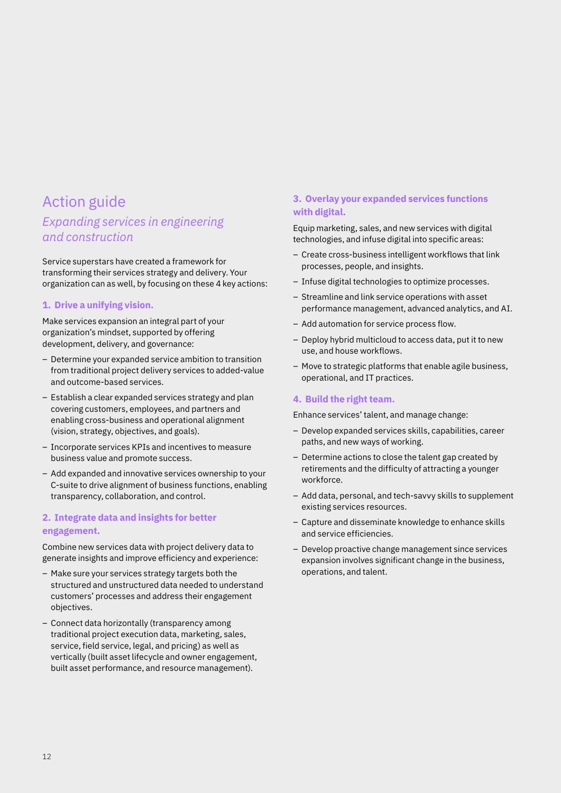# Action guide

## *Expanding services in engineering and construction*

Service superstars have created a framework for transforming their services strategy and delivery. Your organization can as well, by focusing on these 4 key actions:

### **1. Drive a unifying vision.**

Make services expansion an integral part of your organization's mindset, supported by offering development, delivery, and governance:

- Determine your expanded service ambition to transition from traditional project delivery services to added-value and outcome-based services.
- Establish a clear expanded services strategy and plan covering customers, employees, and partners and enabling cross-business and operational alignment (vision, strategy, objectives, and goals).
- Incorporate services KPIs and incentives to measure business value and promote success.
- Add expanded and innovative services ownership to your C-suite to drive alignment of business functions, enabling transparency, collaboration, and control.

## **2. Integrate data and insights for better engagement.**

Combine new services data with project delivery data to generate insights and improve efficiency and experience:

- Make sure your services strategy targets both the structured and unstructured data needed to understand customers' processes and address their engagement objectives.
- Connect data horizontally (transparency among traditional project execution data, marketing, sales, service, field service, legal, and pricing) as well as vertically (built asset lifecycle and owner engagement, built asset performance, and resource management).

## **3. Overlay your expanded services functions with digital.**

Equip marketing, sales, and new services with digital technologies, and infuse digital into specific areas:

- Create cross-business intelligent workflows that link processes, people, and insights.
- Infuse digital technologies to optimize processes.
- Streamline and link service operations with asset performance management, advanced analytics, and AI.
- Add automation for service process flow.
- Deploy hybrid multicloud to access data, put it to new use, and house workflows.
- Move to strategic platforms that enable agile business, operational, and IT practices.

### **4. Build the right team.**

Enhance services' talent, and manage change:

- Develop expanded services skills, capabilities, career paths, and new ways of working.
- Determine actions to close the talent gap created by retirements and the difficulty of attracting a younger workforce.
- Add data, personal, and tech-savvy skills to supplement existing services resources.
- Capture and disseminate knowledge to enhance skills and service efficiencies.
- Develop proactive change management since services expansion involves significant change in the business, operations, and talent.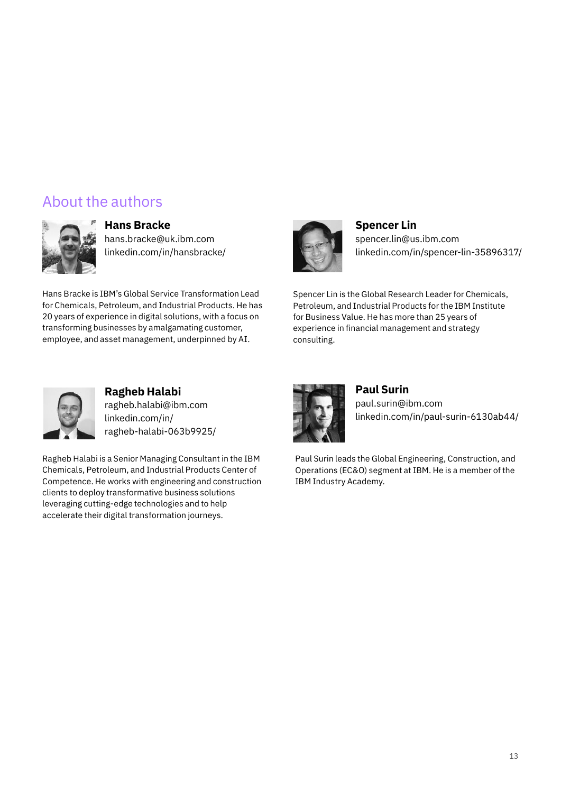# About the authors



## **Hans Bracke**

[hans.bracke@uk.ibm.com](mailto:hans.bracke@uk.ibm.com) [linkedin.com/in/hansbracke/](http://linkedin.com/in/hansbracke/)

Hans Bracke is IBM's Global Service Transformation Lead for Chemicals, Petroleum, and Industrial Products. He has 20 years of experience in digital solutions, with a focus on transforming businesses by amalgamating customer, employee, and asset management, underpinned by AI.



**Spencer Lin** [spencer.lin@us.ibm.com](mailto:spencer.lin@us.ibm.com) [linkedin.com/in/spencer-lin-35896317/](http://linkedin.com/in/spencer-lin-35896317/)

Spencer Lin is the Global Research Leader for Chemicals, Petroleum, and Industrial Products for the IBM Institute for Business Value. He has more than 25 years of experience in financial management and strategy consulting.



**Ragheb Halabi** [ragheb.halabi@ibm.com](mailto:ragheb.halabi@ibm.com) [linkedin.com/in/](http://linkedin.com/in/ragheb-halabi-063b9925/) [ragheb-halabi-063b9925/](http://linkedin.com/in/ragheb-halabi-063b9925/)

Ragheb Halabi is a Senior Managing Consultant in the IBM Chemicals, Petroleum, and Industrial Products Center of Competence. He works with engineering and construction clients to deploy transformative business solutions leveraging cutting-edge technologies and to help accelerate their digital transformation journeys.



**Paul Surin** [paul.surin@ibm.com](mailto:paul.surin@ibm.com) [linkedin.com/in/paul-surin-6130ab44/](http://linkedin.com/in/paul-surin-6130ab44/)

Paul Surin leads the Global Engineering, Construction, and Operations (EC&O) segment at IBM. He is a member of the IBM Industry Academy.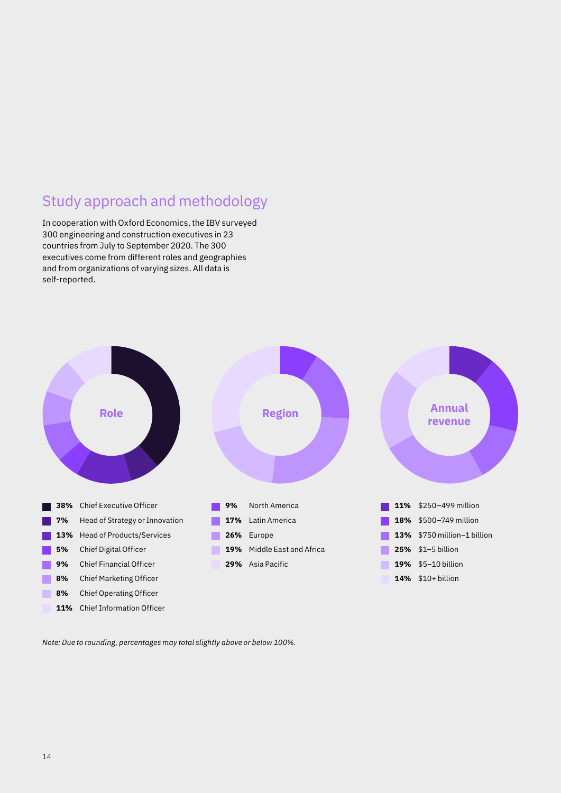# Study approach and methodology

In cooperation with Oxford Economics, the IBV surveyed 300 engineering and construction executives in 23 countries from July to September 2020. The 300 executives come from different roles and geographies and from organizations of varying sizes. All data is self-reported.



*Note: Due to rounding, percentages may total slightly above or below 100%.*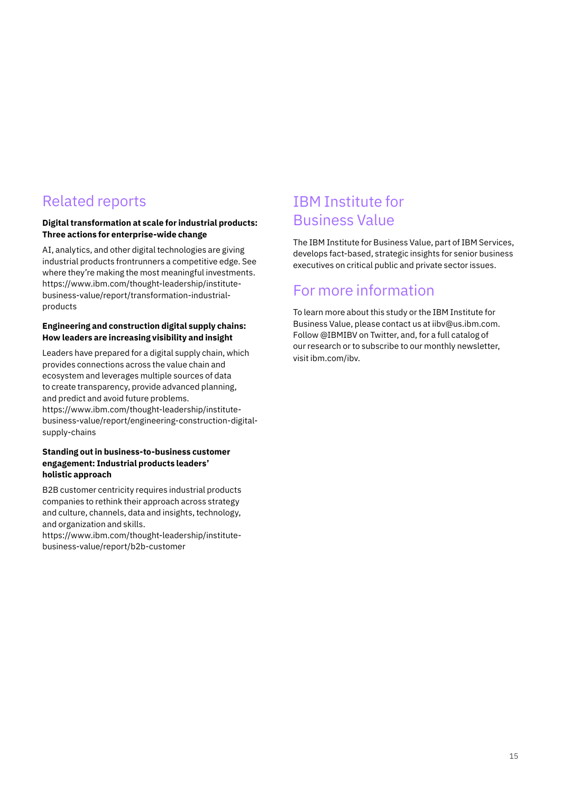# Related reports

## **Digital transformation at scale for industrial products: Three actions for enterprise-wide change**

AI, analytics, and other digital technologies are giving industrial products frontrunners a competitive edge. See where they're making the most meaningful investments. [https://www.ibm.com/thought-leadership/institute](https://www.ibm.com/thought-leadership/institute-business-value/report/transformation-industrial-products)[business-value/report/transformation-industrial](https://www.ibm.com/thought-leadership/institute-business-value/report/transformation-industrial-products)[products](https://www.ibm.com/thought-leadership/institute-business-value/report/transformation-industrial-products)

### **Engineering and construction digital supply chains: How leaders are increasing visibility and insight**

Leaders have prepared for a digital supply chain, which provides connections across the value chain and ecosystem and leverages multiple sources of data to create transparency, provide advanced planning, and predict and avoid future problems. [https://www.ibm.com/thought-leadership/institute-](https://www.ibm.com/thought-leadership/institute-business-value/report/engineering-construction-digital-supply-chains)

[business-value/report/engineering-construction-digital](https://www.ibm.com/thought-leadership/institute-business-value/report/engineering-construction-digital-supply-chains)[supply-chains](https://www.ibm.com/thought-leadership/institute-business-value/report/engineering-construction-digital-supply-chains)

#### **Standing out in business-to-business customer engagement: Industrial products leaders' holistic approach**

B2B customer centricity requires industrial products companies to rethink their approach across strategy and culture, channels, data and insights, technology, and organization and skills.

[https://www.ibm.com/thought-leadership/institute](https://www.ibm.com/thought-leadership/institute-business-value/report/b2b-customer)[business-value/report/b2b-customer](https://www.ibm.com/thought-leadership/institute-business-value/report/b2b-customer)

# IBM Institute for Business Value

The IBM Institute for Business Value, part of IBM Services, develops fact-based, strategic insights for senior business executives on critical public and private sector issues.

# For more information

To learn more about this study or the IBM Institute for Business Value, please contact us at iibv@us.ibm.com. Follow @IBMIBV on Twitter, and, for a full catalog of our research or to subscribe to our monthly newsletter, visit ibm.com/ibv.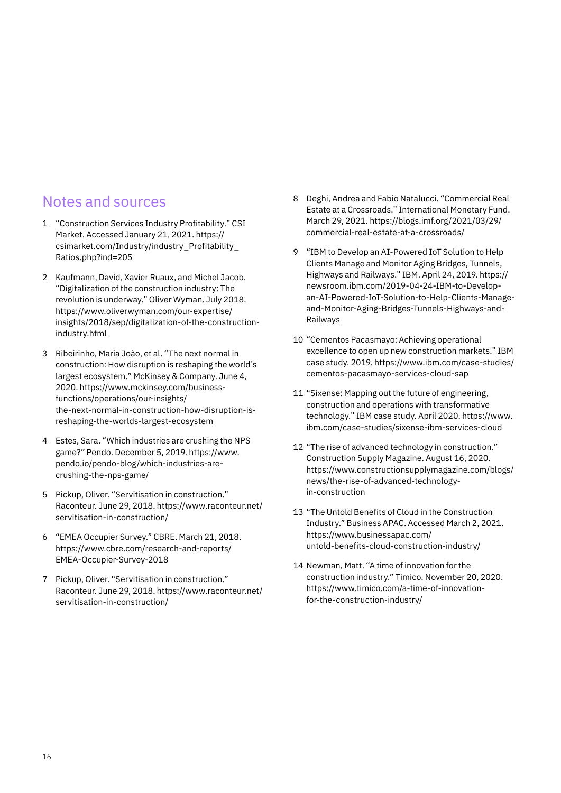## Notes and sources

- 1 "Construction Services Industry Profitability." CSI Market. Accessed January 21, 2021. [https://](https://csimarket.com/Industry/industry_Profitability_Ratios.php?ind=205) [csimarket.com/Industry/industry\\_Profitability\\_](https://csimarket.com/Industry/industry_Profitability_Ratios.php?ind=205) [Ratios.php?ind=205](https://csimarket.com/Industry/industry_Profitability_Ratios.php?ind=205)
- 2 Kaufmann, David, Xavier Ruaux, and Michel Jacob. "Digitalization of the construction industry: The revolution is underway." Oliver Wyman. July 2018. [https://www.oliverwyman.com/our-expertise/](https://www.oliverwyman.com/our-expertise/insights/2018/sep/digitalization-of-the-construction-industry.html) [insights/2018/sep/digitalization-of-the-construction](https://www.oliverwyman.com/our-expertise/insights/2018/sep/digitalization-of-the-construction-industry.html)[industry.html](https://www.oliverwyman.com/our-expertise/insights/2018/sep/digitalization-of-the-construction-industry.html)
- 3 Ribeirinho, Maria João, et al. "The next normal in construction: How disruption is reshaping the world's largest ecosystem." McKinsey & Company. June 4, 2020. [https://www.mckinsey.com/business](https://www.mckinsey.com/business-functions/operations/our-insights/the-next-normal-in-construction-how-disruption-is-reshaping-the-worlds-largest-ecosystem)[functions/operations/our-insights/](https://www.mckinsey.com/business-functions/operations/our-insights/the-next-normal-in-construction-how-disruption-is-reshaping-the-worlds-largest-ecosystem) [the-next-normal-in-construction-how-disruption-is](https://www.mckinsey.com/business-functions/operations/our-insights/the-next-normal-in-construction-how-disruption-is-reshaping-the-worlds-largest-ecosystem)[reshaping-the-worlds-largest-ecosystem](https://www.mckinsey.com/business-functions/operations/our-insights/the-next-normal-in-construction-how-disruption-is-reshaping-the-worlds-largest-ecosystem)
- 4 Estes, Sara. "Which industries are crushing the NPS game?" Pendo. December 5, 2019. [https://www.](https://www.pendo.io/pendo-blog/which-industries-are-crushing-the-nps-game/) [pendo.io/pendo-blog/which-industries-are](https://www.pendo.io/pendo-blog/which-industries-are-crushing-the-nps-game/)[crushing-the-nps-game/](https://www.pendo.io/pendo-blog/which-industries-are-crushing-the-nps-game/)
- 5 Pickup, Oliver. "Servitisation in construction." Raconteur. June 29, 2018. [https://www.raconteur.net/](https://www.raconteur.net/servitisation-in-construction/) [servitisation-in-construction/](https://www.raconteur.net/servitisation-in-construction/)
- 6 "EMEA Occupier Survey." CBRE. March 21, 2018. [https://www.cbre.com/research-and-reports/](https://www.cbre.com/research-and-reports/EMEA-Occupier-Survey-2018) [EMEA-Occupier-Survey-2018](https://www.cbre.com/research-and-reports/EMEA-Occupier-Survey-2018)
- 7 Pickup, Oliver. "Servitisation in construction." Raconteur. June 29, 2018. [https://www.raconteur.net/](https://www.raconteur.net/servitisation-in-construction/) [servitisation-in-construction/](https://www.raconteur.net/servitisation-in-construction/)
- 8 Deghi, Andrea and Fabio Natalucci. "Commercial Real Estate at a Crossroads." International Monetary Fund. March 29, 2021. [https://blogs.imf.org/2021/03/29/](https://blogs.imf.org/2021/03/29/commercial-real-estate-at-a-crossroads/) [commercial-real-estate-at-a-crossroads/](https://blogs.imf.org/2021/03/29/commercial-real-estate-at-a-crossroads/)
- 9 "IBM to Develop an AI-Powered IoT Solution to Help Clients Manage and Monitor Aging Bridges, Tunnels, Highways and Railways." IBM. April 24, 2019. [https://](https://newsroom.ibm.com/2019-04-24-IBM-to-Develop-an-AI-Powered-IoT-Solution-to-Help-Clients-Manage-and-Monitor-Aging-Bridges-Tunnels-Highways-and-Railways) [newsroom.ibm.com/2019-04-24-IBM-to-Develop](https://newsroom.ibm.com/2019-04-24-IBM-to-Develop-an-AI-Powered-IoT-Solution-to-Help-Clients-Manage-and-Monitor-Aging-Bridges-Tunnels-Highways-and-Railways)[an-AI-Powered-IoT-Solution-to-Help-Clients-Manage](https://newsroom.ibm.com/2019-04-24-IBM-to-Develop-an-AI-Powered-IoT-Solution-to-Help-Clients-Manage-and-Monitor-Aging-Bridges-Tunnels-Highways-and-Railways)[and-Monitor-Aging-Bridges-Tunnels-Highways-and-](https://newsroom.ibm.com/2019-04-24-IBM-to-Develop-an-AI-Powered-IoT-Solution-to-Help-Clients-Manage-and-Monitor-Aging-Bridges-Tunnels-Highways-and-Railways)[Railways](https://newsroom.ibm.com/2019-04-24-IBM-to-Develop-an-AI-Powered-IoT-Solution-to-Help-Clients-Manage-and-Monitor-Aging-Bridges-Tunnels-Highways-and-Railways)
- 10 "Cementos Pacasmayo: Achieving operational excellence to open up new construction markets." IBM case study. 2019. [https://www.ibm.com/case-studies/](https://www.ibm.com/case-studies/cementos-pacasmayo-services-cloud-sap) [cementos-pacasmayo-services-cloud-sap](https://www.ibm.com/case-studies/cementos-pacasmayo-services-cloud-sap)
- 11 "Sixense: Mapping out the future of engineering, construction and operations with transformative technology." IBM case study. April 2020. [https://www.](https://www.ibm.com/case-studies/sixense-ibm-services-cloud) [ibm.com/case-studies/sixense-ibm-services-cloud](https://www.ibm.com/case-studies/sixense-ibm-services-cloud)
- 12 "The rise of advanced technology in construction." Construction Supply Magazine. August 16, 2020. [https://www.constructionsupplymagazine.com/blogs/](https://www.constructionsupplymagazine.com/blogs/news/the-rise-of-advanced-technology-in-construction) [news/the-rise-of-advanced-technology](https://www.constructionsupplymagazine.com/blogs/news/the-rise-of-advanced-technology-in-construction)[in-construction](https://www.constructionsupplymagazine.com/blogs/news/the-rise-of-advanced-technology-in-construction)
- 13 "The Untold Benefits of Cloud in the Construction Industry." Business APAC. Accessed March 2, 2021. [https://www.businessapac.com/](https://www.businessapac.com/untold-benefits-cloud-construction-industry/) [untold-benefits-cloud-construction-industry/](https://www.businessapac.com/untold-benefits-cloud-construction-industry/)
- 14 Newman, Matt. "A time of innovation for the construction industry." Timico. November 20, 2020. [https://www.timico.com/a-time-of-innovation](https://www.timico.com/a-time-of-innovation-for-the-construction-industry/)[for-the-construction-industry/](https://www.timico.com/a-time-of-innovation-for-the-construction-industry/)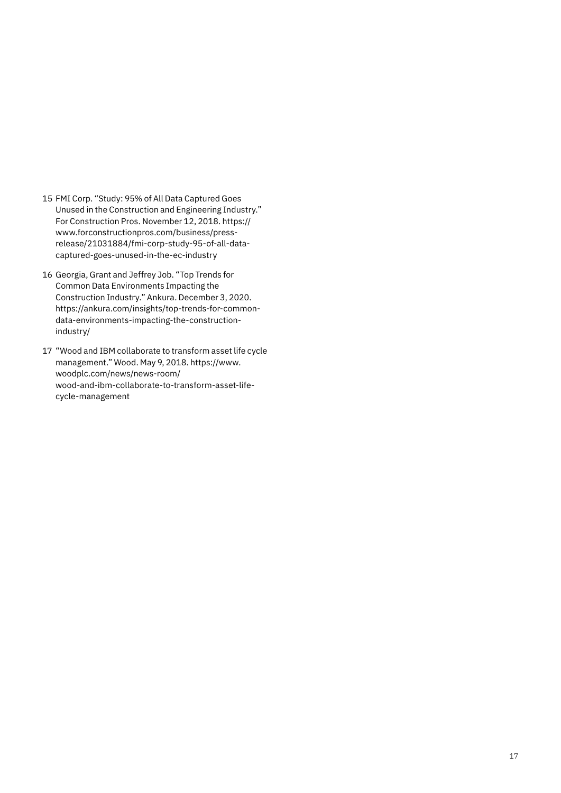- 15 FMI Corp. "Study: 95% of All Data Captured Goes Unused in the Construction and Engineering Industry." For Construction Pros. November 12, 2018. [https://](https://www.forconstructionpros.com/business/press-release/21031884/fmi-corp-study-95-of-all-data-captured-goes-unused-in-the-ec-industry) [www.forconstructionpros.com/business/press](https://www.forconstructionpros.com/business/press-release/21031884/fmi-corp-study-95-of-all-data-captured-goes-unused-in-the-ec-industry)[release/21031884/fmi-corp-study-95-of-all-data](https://www.forconstructionpros.com/business/press-release/21031884/fmi-corp-study-95-of-all-data-captured-goes-unused-in-the-ec-industry)[captured-goes-unused-in-the-ec-industry](https://www.forconstructionpros.com/business/press-release/21031884/fmi-corp-study-95-of-all-data-captured-goes-unused-in-the-ec-industry)
- 16 Georgia, Grant and Jeffrey Job. "Top Trends for Common Data Environments Impacting the Construction Industry." Ankura. December 3, 2020. [https://ankura.com/insights/top-trends-for-common](https://ankura.com/insights/top-trends-for-common-data-environments-impacting-the-construction-industry/)[data-environments-impacting-the-construction](https://ankura.com/insights/top-trends-for-common-data-environments-impacting-the-construction-industry/)[industry/](https://ankura.com/insights/top-trends-for-common-data-environments-impacting-the-construction-industry/)
- 17 "Wood and IBM collaborate to transform asset life cycle management." Wood. May 9, 2018. [https://www.](https://www.woodplc.com/news/news-room/wood-and-ibm-collaborate-to-transform-asset-life-cycle-management) [woodplc.com/news/news-room/](https://www.woodplc.com/news/news-room/wood-and-ibm-collaborate-to-transform-asset-life-cycle-management) [wood-and-ibm-collaborate-to-transform-asset-life](https://www.woodplc.com/news/news-room/wood-and-ibm-collaborate-to-transform-asset-life-cycle-management)[cycle-management](https://www.woodplc.com/news/news-room/wood-and-ibm-collaborate-to-transform-asset-life-cycle-management)